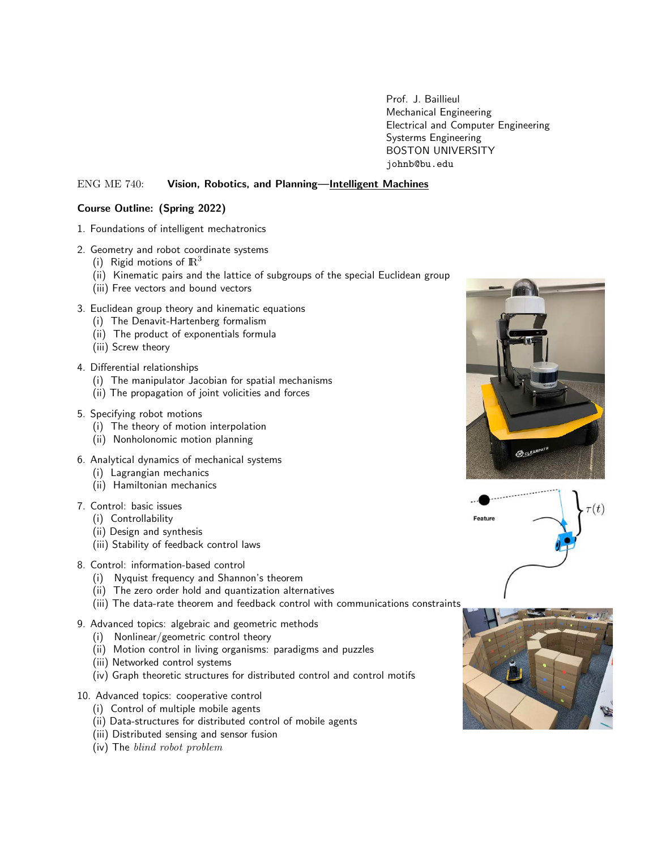Prof. J. Baillieul Mechanical Engineering Electrical and Computer Engineering Systerms Engineering BOSTON UNIVERSITY johnb@bu.edu

# ENG ME 740: Vision, Robotics, and Planning—Intelligent Machines

## Course Outline: (Spring 2022)

- 1. Foundations of intelligent mechatronics
- 2. Geometry and robot coordinate systems
	- (i) Rigid motions of  $\mathbb{R}^3$
	- (ii) Kinematic pairs and the lattice of subgroups of the special Euclidean group
	- (iii) Free vectors and bound vectors
- 3. Euclidean group theory and kinematic equations
	- (i) The Denavit-Hartenberg formalism
	- (ii) The product of exponentials formula
	- (iii) Screw theory
- 4. Differential relationships
	- (i) The manipulator Jacobian for spatial mechanisms
	- (ii) The propagation of joint volicities and forces
- 5. Specifying robot motions
	- (i) The theory of motion interpolation
	- (ii) Nonholonomic motion planning
- 6. Analytical dynamics of mechanical systems
	- (i) Lagrangian mechanics
	- (ii) Hamiltonian mechanics
- 7. Control: basic issues
	- (i) Controllability
	- (ii) Design and synthesis
	- (iii) Stability of feedback control laws
- 8. Control: information-based control
	- (i) Nyquist frequency and Shannon's theorem
	- (ii) The zero order hold and quantization alternatives
	- (iii) The data-rate theorem and feedback control with communications constraints
- 9. Advanced topics: algebraic and geometric methods
	- (i) Nonlinear/geometric control theory
	- (ii) Motion control in living organisms: paradigms and puzzles
	- (iii) Networked control systems
	- (iv) Graph theoretic structures for distributed control and control motifs
- 10. Advanced topics: cooperative control
	- (i) Control of multiple mobile agents
	- (ii) Data-structures for distributed control of mobile agents
	- (iii) Distributed sensing and sensor fusion
	- (iv) The blind robot problem